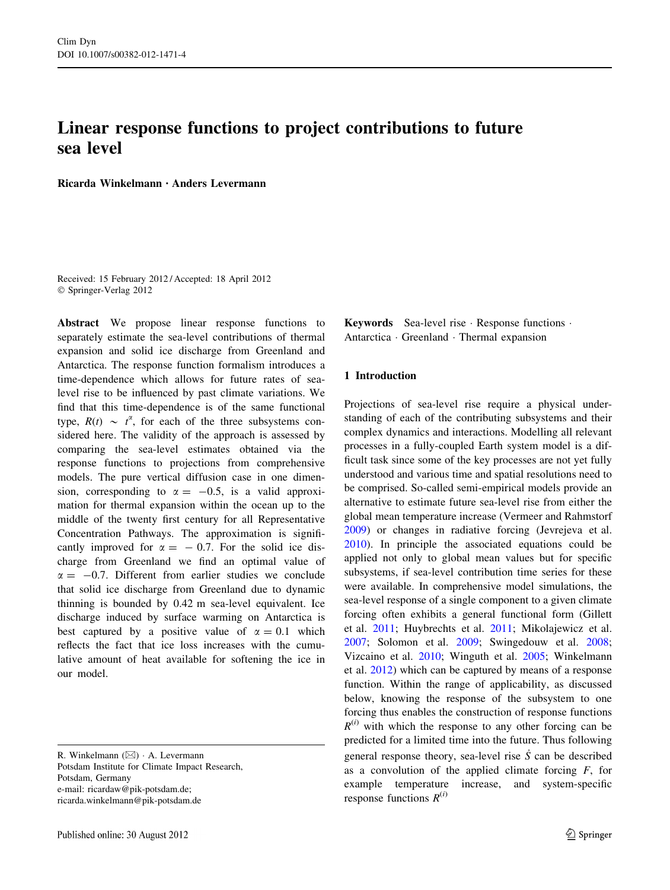# <span id="page-0-0"></span>Linear response functions to project contributions to future sea level

Ricarda Winkelmann • Anders Levermann

Received: 15 February 2012 / Accepted: 18 April 2012 © Springer-Verlag 2012

Abstract We propose linear response functions to separately estimate the sea-level contributions of thermal expansion and solid ice discharge from Greenland and Antarctica. The response function formalism introduces a time-dependence which allows for future rates of sealevel rise to be influenced by past climate variations. We find that this time-dependence is of the same functional type,  $R(t) \sim t^{\alpha}$ , for each of the three subsystems considered here. The validity of the approach is assessed by comparing the sea-level estimates obtained via the response functions to projections from comprehensive models. The pure vertical diffusion case in one dimension, corresponding to  $\alpha = -0.5$ , is a valid approximation for thermal expansion within the ocean up to the middle of the twenty first century for all Representative Concentration Pathways. The approximation is significantly improved for  $\alpha = -0.7$ . For the solid ice discharge from Greenland we find an optimal value of  $\alpha = -0.7$ . Different from earlier studies we conclude that solid ice discharge from Greenland due to dynamic thinning is bounded by 0.42 m sea-level equivalent. Ice discharge induced by surface warming on Antarctica is best captured by a positive value of  $\alpha = 0.1$  which reflects the fact that ice loss increases with the cumulative amount of heat available for softening the ice in our model.

Potsdam Institute for Climate Impact Research, Potsdam, Germany e-mail: ricardaw@pik-potsdam.de; ricarda.winkelmann@pik-potsdam.de

Keywords Sea-level rise - Response functions - Antarctica - Greenland - Thermal expansion

# 1 Introduction

Projections of sea-level rise require a physical understanding of each of the contributing subsystems and their complex dynamics and interactions. Modelling all relevant processes in a fully-coupled Earth system model is a difficult task since some of the key processes are not yet fully understood and various time and spatial resolutions need to be comprised. So-called semi-empirical models provide an alternative to estimate future sea-level rise from either the global mean temperature increase (Vermeer and Rahmstorf [2009](#page-9-0)) or changes in radiative forcing (Jevrejeva et al. [2010](#page-9-0)). In principle the associated equations could be applied not only to global mean values but for specific subsystems, if sea-level contribution time series for these were available. In comprehensive model simulations, the sea-level response of a single component to a given climate forcing often exhibits a general functional form (Gillett et al. [2011](#page-9-0); Huybrechts et al. [2011;](#page-9-0) Mikolajewicz et al. [2007](#page-9-0); Solomon et al. [2009;](#page-9-0) Swingedouw et al. [2008](#page-9-0); Vizcaino et al. [2010](#page-9-0); Winguth et al. [2005;](#page-9-0) Winkelmann et al. [2012](#page-9-0)) which can be captured by means of a response function. Within the range of applicability, as discussed below, knowing the response of the subsystem to one forcing thus enables the construction of response functions  $R^{(i)}$  with which the response to any other forcing can be predicted for a limited time into the future. Thus following general response theory, sea-level rise  $\dot{S}$  can be described as a convolution of the applied climate forcing  $F$ , for example temperature increase, and system-specific response functions  $R^{(i)}$ 

R. Winkelmann  $(\boxtimes) \cdot$  A. Levermann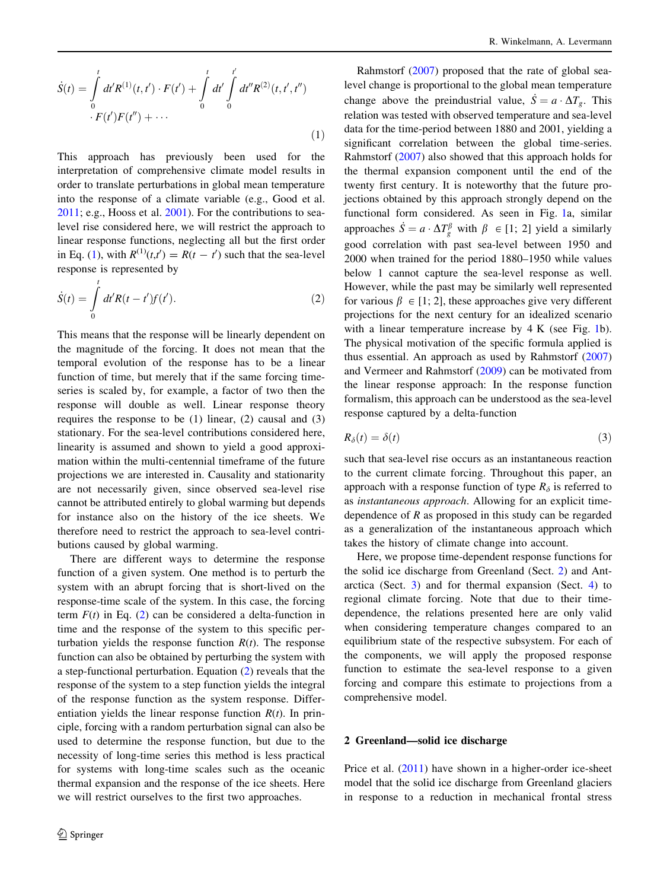<span id="page-1-0"></span>
$$
\dot{S}(t) = \int_{0}^{t} dt' R^{(1)}(t, t') \cdot F(t') + \int_{0}^{t} dt' \int_{0}^{t'} dt'' R^{(2)}(t, t', t'')
$$
  
 
$$
\cdot F(t')F(t'') + \cdots
$$
 (1)

This approach has previously been used for the interpretation of comprehensive climate model results in order to translate perturbations in global mean temperature into the response of a climate variable (e.g., Good et al. [2011;](#page-9-0) e.g., Hooss et al. [2001\)](#page-9-0). For the contributions to sealevel rise considered here, we will restrict the approach to linear response functions, neglecting all but the first order in Eq. [\(1](#page-0-0)), with  $R^{(1)}(t,t') = R(t - t')$  such that the sea-level response is represented by

$$
\dot{S}(t) = \int_{0}^{t} dt' R(t - t') f(t').
$$
\n(2)

This means that the response will be linearly dependent on the magnitude of the forcing. It does not mean that the temporal evolution of the response has to be a linear function of time, but merely that if the same forcing timeseries is scaled by, for example, a factor of two then the response will double as well. Linear response theory requires the response to be  $(1)$  linear,  $(2)$  causal and  $(3)$ stationary. For the sea-level contributions considered here, linearity is assumed and shown to yield a good approximation within the multi-centennial timeframe of the future projections we are interested in. Causality and stationarity are not necessarily given, since observed sea-level rise cannot be attributed entirely to global warming but depends for instance also on the history of the ice sheets. We therefore need to restrict the approach to sea-level contributions caused by global warming.

There are different ways to determine the response function of a given system. One method is to perturb the system with an abrupt forcing that is short-lived on the response-time scale of the system. In this case, the forcing term  $F(t)$  in Eq. (2) can be considered a delta-function in time and the response of the system to this specific perturbation yields the response function  $R(t)$ . The response function can also be obtained by perturbing the system with a step-functional perturbation. Equation (2) reveals that the response of the system to a step function yields the integral of the response function as the system response. Differentiation yields the linear response function  $R(t)$ . In principle, forcing with a random perturbation signal can also be used to determine the response function, but due to the necessity of long-time series this method is less practical for systems with long-time scales such as the oceanic thermal expansion and the response of the ice sheets. Here we will restrict ourselves to the first two approaches.

Rahmstorf ([2007\)](#page-9-0) proposed that the rate of global sealevel change is proportional to the global mean temperature change above the preindustrial value,  $\dot{S} = a \cdot \Delta T_g$ . This relation was tested with observed temperature and sea-level data for the time-period between 1880 and 2001, yielding a significant correlation between the global time-series. Rahmstorf ([2007\)](#page-9-0) also showed that this approach holds for the thermal expansion component until the end of the twenty first century. It is noteworthy that the future projections obtained by this approach strongly depend on the functional form considered. As seen in Fig. [1](#page-2-0)a, similar approaches  $\dot{S} = a \cdot \Delta T_g^{\beta}$  with  $\beta \in [1; 2]$  yield a similarly good correlation with past sea-level between 1950 and 2000 when trained for the period 1880–1950 while values below 1 cannot capture the sea-level response as well. However, while the past may be similarly well represented for various  $\beta \in [1; 2]$ , these approaches give very different projections for the next century for an idealized scenario with a linear temperature increase by 4 K (see Fig. [1](#page-2-0)b). The physical motivation of the specific formula applied is thus essential. An approach as used by Rahmstorf ([2007\)](#page-9-0) and Vermeer and Rahmstorf ([2009\)](#page-9-0) can be motivated from the linear response approach: In the response function formalism, this approach can be understood as the sea-level response captured by a delta-function

$$
R_{\delta}(t) = \delta(t) \tag{3}
$$

such that sea-level rise occurs as an instantaneous reaction to the current climate forcing. Throughout this paper, an approach with a response function of type  $R_{\delta}$  is referred to as instantaneous approach. Allowing for an explicit timedependence of  $R$  as proposed in this study can be regarded as a generalization of the instantaneous approach which takes the history of climate change into account.

Here, we propose time-dependent response functions for the solid ice discharge from Greenland (Sect. 2) and Antarctica (Sect. [3\)](#page-3-0) and for thermal expansion (Sect. [4](#page-6-0)) to regional climate forcing. Note that due to their timedependence, the relations presented here are only valid when considering temperature changes compared to an equilibrium state of the respective subsystem. For each of the components, we will apply the proposed response function to estimate the sea-level response to a given forcing and compare this estimate to projections from a comprehensive model.

### 2 Greenland—solid ice discharge

Price et al. [\(2011](#page-9-0)) have shown in a higher-order ice-sheet model that the solid ice discharge from Greenland glaciers in response to a reduction in mechanical frontal stress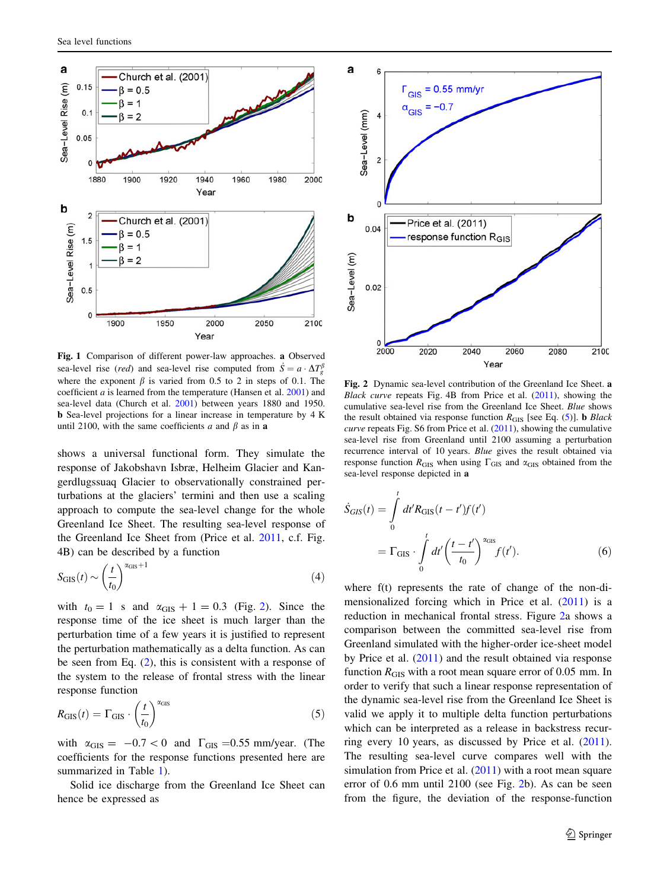<span id="page-2-0"></span>

Fig. 1 Comparison of different power-law approaches. a Observed sea-level rise (*red*) and sea-level rise computed from  $\dot{S} = a \cdot \Delta T_g^{\beta}$ where the exponent  $\beta$  is varied from 0.5 to 2 in steps of 0.1. The coefficient  $a$  is learned from the temperature (Hansen et al.  $2001$ ) and sea-level data (Church et al. [2001\)](#page-9-0) between years 1880 and 1950. b Sea-level projections for a linear increase in temperature by 4 K until 2100, with the same coefficients a and  $\beta$  as in a

shows a universal functional form. They simulate the response of Jakobshavn Isbræ, Helheim Glacier and Kangerdlugssuaq Glacier to observationally constrained perturbations at the glaciers' termini and then use a scaling approach to compute the sea-level change for the whole Greenland Ice Sheet. The resulting sea-level response of the Greenland Ice Sheet from (Price et al. [2011](#page-9-0), c.f. Fig. 4B) can be described by a function

$$
S_{\text{GIS}}(t) \sim \left(\frac{t}{t_0}\right)^{\alpha_{\text{GIS}}+1} \tag{4}
$$

with  $t_0 = 1$  s and  $\alpha$ <sub>GIS</sub> + 1 = 0.3 (Fig. 2). Since the response time of the ice sheet is much larger than the perturbation time of a few years it is justified to represent the perturbation mathematically as a delta function. As can be seen from Eq. [\(2](#page-1-0)), this is consistent with a response of the system to the release of frontal stress with the linear response function

$$
R_{\text{GIS}}(t) = \Gamma_{\text{GIS}} \cdot \left(\frac{t}{t_0}\right)^{\alpha_{\text{GIS}}} \tag{5}
$$

with  $\alpha_{\text{GIS}} = -0.7 < 0$  and  $\Gamma_{\text{GIS}} = 0.55$  mm/year. (The coefficients for the response functions presented here are summarized in Table [1\)](#page-3-0).

Solid ice discharge from the Greenland Ice Sheet can hence be expressed as



Fig. 2 Dynamic sea-level contribution of the Greenland Ice Sheet. a Black curve repeats Fig. 4B from Price et al. ([2011\)](#page-9-0), showing the cumulative sea-level rise from the Greenland Ice Sheet. Blue shows the result obtained via response function  $R_{\text{GIS}}$  [see Eq. (5)]. **b** Black curve repeats Fig. S6 from Price et al. [\(2011](#page-9-0)), showing the cumulative sea-level rise from Greenland until 2100 assuming a perturbation recurrence interval of 10 years. Blue gives the result obtained via response function  $R<sub>GIS</sub>$  when using  $\Gamma<sub>GIS</sub>$  and  $\alpha<sub>GIS</sub>$  obtained from the sea-level response depicted in a

$$
\dot{S}_{GIS}(t) = \int_{0}^{t} dt' R_{GIS}(t - t') f(t')
$$

$$
= \Gamma_{GIS} \cdot \int_{0}^{t} dt' \left(\frac{t - t'}{t_0}\right)^{\alpha_{GIS}} f(t'). \tag{6}
$$

where f(t) represents the rate of change of the non-dimensionalized forcing which in Price et al. ([2011\)](#page-9-0) is a reduction in mechanical frontal stress. Figure 2a shows a comparison between the committed sea-level rise from Greenland simulated with the higher-order ice-sheet model by Price et al. [\(2011](#page-9-0)) and the result obtained via response function  $R<sub>GIS</sub>$  with a root mean square error of 0.05 mm. In order to verify that such a linear response representation of the dynamic sea-level rise from the Greenland Ice Sheet is valid we apply it to multiple delta function perturbations which can be interpreted as a release in backstress recurring every 10 years, as discussed by Price et al. [\(2011](#page-9-0)). The resulting sea-level curve compares well with the simulation from Price et al. [\(2011](#page-9-0)) with a root mean square error of 0.6 mm until 2100 (see Fig. 2b). As can be seen from the figure, the deviation of the response-function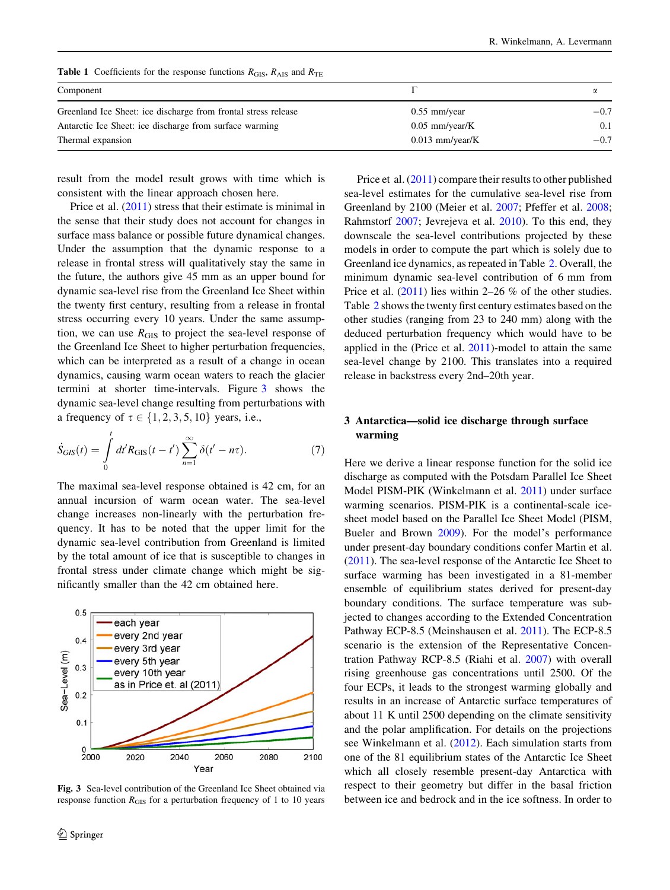<span id="page-3-0"></span>Table 1 Coefficients for the response functions  $R<sub>GIS</sub>$ ,  $R<sub>AIS</sub>$  and  $R<sub>TE</sub>$ 

| Component                                                      |                   |        |
|----------------------------------------------------------------|-------------------|--------|
| Greenland Ice Sheet: ice discharge from frontal stress release | $0.55$ mm/year    | $-0.7$ |
| Antarctic Ice Sheet: ice discharge from surface warming        | $0.05$ mm/year/K  | 0.1    |
| Thermal expansion                                              | $0.013$ mm/year/K | $-0.7$ |

result from the model result grows with time which is consistent with the linear approach chosen here.

Price et al.  $(2011)$  $(2011)$  stress that their estimate is minimal in the sense that their study does not account for changes in surface mass balance or possible future dynamical changes. Under the assumption that the dynamic response to a release in frontal stress will qualitatively stay the same in the future, the authors give 45 mm as an upper bound for dynamic sea-level rise from the Greenland Ice Sheet within the twenty first century, resulting from a release in frontal stress occurring every 10 years. Under the same assumption, we can use  $R<sub>GIS</sub>$  to project the sea-level response of the Greenland Ice Sheet to higher perturbation frequencies, which can be interpreted as a result of a change in ocean dynamics, causing warm ocean waters to reach the glacier termini at shorter time-intervals. Figure 3 shows the dynamic sea-level change resulting from perturbations with a frequency of  $\tau \in \{1, 2, 3, 5, 10\}$  years, i.e.,

$$
\dot{S}_{GIS}(t) = \int_{0}^{t} dt' R_{GIS}(t - t') \sum_{n=1}^{\infty} \delta(t' - n\tau).
$$
 (7)

The maximal sea-level response obtained is 42 cm, for an annual incursion of warm ocean water. The sea-level change increases non-linearly with the perturbation frequency. It has to be noted that the upper limit for the dynamic sea-level contribution from Greenland is limited by the total amount of ice that is susceptible to changes in frontal stress under climate change which might be significantly smaller than the 42 cm obtained here.



Fig. 3 Sea-level contribution of the Greenland Ice Sheet obtained via response function  $R<sub>GIS</sub>$  for a perturbation frequency of 1 to 10 years

Price et al. ([2011\)](#page-9-0) compare their results to other published sea-level estimates for the cumulative sea-level rise from Greenland by 2100 (Meier et al. [2007](#page-9-0); Pfeffer et al. [2008](#page-9-0); Rahmstorf [2007](#page-9-0); Jevrejeva et al. [2010\)](#page-9-0). To this end, they downscale the sea-level contributions projected by these models in order to compute the part which is solely due to Greenland ice dynamics, as repeated in Table [2](#page-4-0). Overall, the minimum dynamic sea-level contribution of 6 mm from Price et al. ([2011\)](#page-9-0) lies within 2–26 % of the other studies. Table [2](#page-4-0) shows the twenty first century estimates based on the other studies (ranging from 23 to 240 mm) along with the deduced perturbation frequency which would have to be applied in the (Price et al. [2011](#page-9-0))-model to attain the same sea-level change by 2100. This translates into a required release in backstress every 2nd–20th year.

# 3 Antarctica—solid ice discharge through surface warming

Here we derive a linear response function for the solid ice discharge as computed with the Potsdam Parallel Ice Sheet Model PISM-PIK (Winkelmann et al. [2011\)](#page-9-0) under surface warming scenarios. PISM-PIK is a continental-scale icesheet model based on the Parallel Ice Sheet Model (PISM, Bueler and Brown [2009](#page-9-0)). For the model's performance under present-day boundary conditions confer Martin et al. [\(2011](#page-9-0)). The sea-level response of the Antarctic Ice Sheet to surface warming has been investigated in a 81-member ensemble of equilibrium states derived for present-day boundary conditions. The surface temperature was subjected to changes according to the Extended Concentration Pathway ECP-8.5 (Meinshausen et al. [2011\)](#page-9-0). The ECP-8.5 scenario is the extension of the Representative Concentration Pathway RCP-8.5 (Riahi et al. [2007](#page-9-0)) with overall rising greenhouse gas concentrations until 2500. Of the four ECPs, it leads to the strongest warming globally and results in an increase of Antarctic surface temperatures of about 11 K until 2500 depending on the climate sensitivity and the polar amplification. For details on the projections see Winkelmann et al. [\(2012](#page-9-0)). Each simulation starts from one of the 81 equilibrium states of the Antarctic Ice Sheet which all closely resemble present-day Antarctica with respect to their geometry but differ in the basal friction between ice and bedrock and in the ice softness. In order to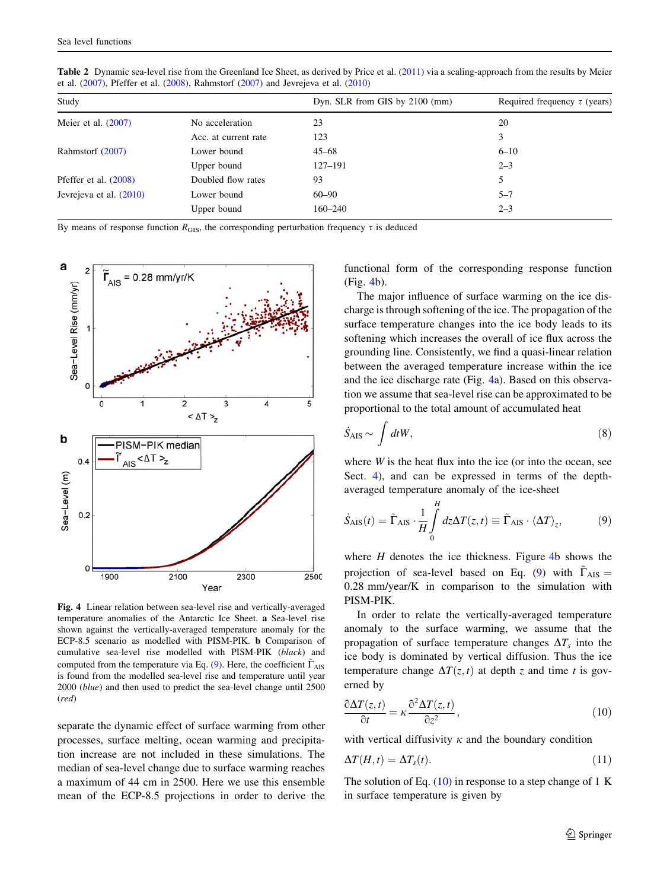| Study                     |                      | Dyn. SLR from GIS by $2100$ (mm) | Required frequency $\tau$ (years) |
|---------------------------|----------------------|----------------------------------|-----------------------------------|
| Meier et al. $(2007)$     | No acceleration      | 23                               | 20                                |
|                           | Acc. at current rate | 123                              | 3                                 |
| Rahmstorf (2007)          | Lower bound          | $45 - 68$                        | $6 - 10$                          |
|                           | Upper bound          | $127 - 191$                      | $2 - 3$                           |
| Pfeffer et al. $(2008)$   | Doubled flow rates   | 93                               | 5.                                |
| Jevrejeva et al. $(2010)$ | Lower bound          | $60 - 90$                        | $5 - 7$                           |
|                           | Upper bound          | $160 - 240$                      | $2 - 3$                           |
|                           |                      |                                  |                                   |

<span id="page-4-0"></span>Table 2 Dynamic sea-level rise from the Greenland Ice Sheet, as derived by Price et al. [\(2011](#page-9-0)) via a scaling-approach from the results by Meier et al. ([2007\)](#page-9-0), Pfeffer et al. ([2008\)](#page-9-0), Rahmstorf [\(2007](#page-9-0)) and Jevrejeva et al. ([2010\)](#page-9-0)

By means of response function  $R<sub>GIS</sub>$ , the corresponding perturbation frequency  $\tau$  is deduced



Fig. 4 Linear relation between sea-level rise and vertically-averaged temperature anomalies of the Antarctic Ice Sheet. a Sea-level rise shown against the vertically-averaged temperature anomaly for the ECP-8.5 scenario as modelled with PISM-PIK. b Comparison of cumulative sea-level rise modelled with PISM-PIK (black) and computed from the temperature via Eq. (9). Here, the coefficient  $\Gamma_{\text{AIS}}$ is found from the modelled sea-level rise and temperature until year 2000 (blue) and then used to predict the sea-level change until 2500 (red)

separate the dynamic effect of surface warming from other processes, surface melting, ocean warming and precipitation increase are not included in these simulations. The median of sea-level change due to surface warming reaches a maximum of 44 cm in 2500. Here we use this ensemble mean of the ECP-8.5 projections in order to derive the functional form of the corresponding response function (Fig. 4b).

The major influence of surface warming on the ice discharge is through softening of the ice. The propagation of the surface temperature changes into the ice body leads to its softening which increases the overall of ice flux across the grounding line. Consistently, we find a quasi-linear relation between the averaged temperature increase within the ice and the ice discharge rate (Fig. 4a). Based on this observation we assume that sea-level rise can be approximated to be proportional to the total amount of accumulated heat

$$
\dot{S}_{\rm AIS} \sim \int dt W, \tag{8}
$$

where  $W$  is the heat flux into the ice (or into the ocean, see Sect. [4](#page-6-0)), and can be expressed in terms of the depthaveraged temperature anomaly of the ice-sheet

$$
\dot{S}_{\text{AIS}}(t) = \tilde{\Gamma}_{\text{AIS}} \cdot \frac{1}{H} \int_{0}^{H} dz \Delta T(z, t) \equiv \tilde{\Gamma}_{\text{AIS}} \cdot \langle \Delta T \rangle_{z}, \tag{9}
$$

where  $H$  denotes the ice thickness. Figure 4b shows the projection of sea-level based on Eq. (9) with  $\Gamma_{\text{AIS}} =$ 0.28 mm/year/K in comparison to the simulation with PISM-PIK.

In order to relate the vertically-averaged temperature anomaly to the surface warming, we assume that the propagation of surface temperature changes  $\Delta T_s$  into the ice body is dominated by vertical diffusion. Thus the ice temperature change  $\Delta T(z, t)$  at depth z and time t is governed by

$$
\frac{\partial \Delta T(z,t)}{\partial t} = \kappa \frac{\partial^2 \Delta T(z,t)}{\partial z^2},\tag{10}
$$

with vertical diffusivity  $\kappa$  and the boundary condition

$$
\Delta T(H,t) = \Delta T_s(t). \tag{11}
$$

The solution of Eq.  $(10)$  in response to a step change of 1 K in surface temperature is given by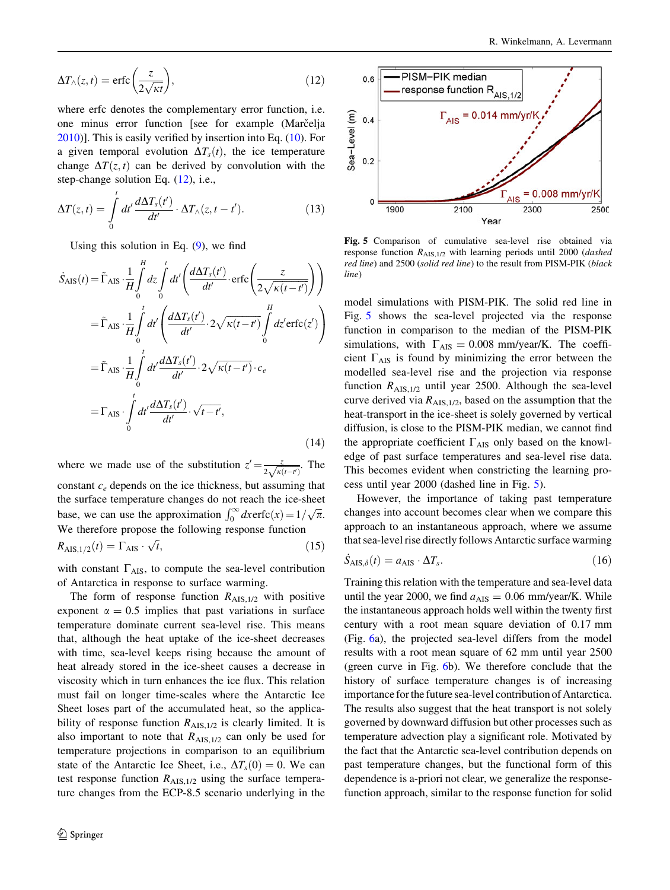<span id="page-5-0"></span>
$$
\Delta T_{\wedge}(z,t) = \text{erfc}\left(\frac{z}{2\sqrt{\kappa t}}\right),\tag{12}
$$

where erfc denotes the complementary error function, i.e. one minus error function [see for example (Marc̆elja [2010\)](#page-9-0)]. This is easily verified by insertion into Eq. [\(10](#page-4-0)). For a given temporal evolution  $\Delta T_s(t)$ , the ice temperature change  $\Delta T(z, t)$  can be derived by convolution with the step-change solution Eq. ([12\)](#page-4-0), i.e.,

$$
\Delta T(z,t) = \int\limits_0^t dt' \frac{d\Delta T_s(t')}{dt'} \cdot \Delta T_\wedge(z,t-t'). \tag{13}
$$

Using this solution in Eq.  $(9)$  $(9)$ , we find

$$
\dot{S}_{\text{AIS}}(t) = \tilde{\Gamma}_{\text{AIS}} \cdot \frac{1}{H} \int_{0}^{H} dz \int_{0}^{t} dt' \left( \frac{d\Delta T_{s}(t')}{dt'} \cdot \text{erfc}\left(\frac{z}{2\sqrt{\kappa(t-t')}}\right) \right)
$$
\n
$$
= \tilde{\Gamma}_{\text{AIS}} \cdot \frac{1}{H} \int_{0}^{t} dt' \left( \frac{d\Delta T_{s}(t')}{dt'} \cdot 2\sqrt{\kappa(t-t')} \int_{0}^{H} dz' \text{erfc}(z') \right)
$$
\n
$$
= \tilde{\Gamma}_{\text{AIS}} \cdot \frac{1}{H} \int_{0}^{t} dt' \frac{d\Delta T_{s}(t')}{dt'} \cdot 2\sqrt{\kappa(t-t')} \cdot c_{e}
$$
\n
$$
= \Gamma_{\text{AIS}} \cdot \int_{0}^{t} dt' \frac{d\Delta T_{s}(t')}{dt'} \cdot \sqrt{t-t'}, \tag{14}
$$

where we made use of the substitution  $z' = \frac{z}{2\sqrt{\kappa(t-t)}}$ . The constant  $c_e$  depends on the ice thickness, but assuming that the surface temperature changes do not reach the ice-sheet base, we can use the approximation  $\int_0^\infty dx \text{erfc}(x) = 1/\sqrt{\pi}$ .

We therefore propose the following response function  
\n
$$
R_{\text{AIS},1/2}(t) = \Gamma_{\text{AIS}} \cdot \sqrt{t},
$$
\n(15)

with constant  $\Gamma_{\text{AIS}}$ , to compute the sea-level contribution of Antarctica in response to surface warming.

The form of response function  $R_{\text{AIS},1/2}$  with positive exponent  $\alpha = 0.5$  implies that past variations in surface temperature dominate current sea-level rise. This means that, although the heat uptake of the ice-sheet decreases with time, sea-level keeps rising because the amount of heat already stored in the ice-sheet causes a decrease in viscosity which in turn enhances the ice flux. This relation must fail on longer time-scales where the Antarctic Ice Sheet loses part of the accumulated heat, so the applicability of response function  $R_{\text{AIS},1/2}$  is clearly limited. It is also important to note that  $R_{\text{AIS},1/2}$  can only be used for temperature projections in comparison to an equilibrium state of the Antarctic Ice Sheet, i.e.,  $\Delta T_s(0) = 0$ . We can test response function  $R_{\text{AIS},1/2}$  using the surface temperature changes from the ECP-8.5 scenario underlying in the



Fig. 5 Comparison of cumulative sea-level rise obtained via response function  $R_{\text{AIS},1/2}$  with learning periods until 2000 (*dashed* red line) and 2500 (solid red line) to the result from PISM-PIK (black line)

model simulations with PISM-PIK. The solid red line in Fig. 5 shows the sea-level projected via the response function in comparison to the median of the PISM-PIK simulations, with  $\Gamma_{\text{AIS}} = 0.008$  mm/year/K. The coefficient  $\Gamma_{\text{AIS}}$  is found by minimizing the error between the modelled sea-level rise and the projection via response function  $R_{\text{AIS},1/2}$  until year 2500. Although the sea-level curve derived via  $R_{\text{AIS},1/2}$ , based on the assumption that the heat-transport in the ice-sheet is solely governed by vertical diffusion, is close to the PISM-PIK median, we cannot find the appropriate coefficient  $\Gamma_{\text{AIS}}$  only based on the knowledge of past surface temperatures and sea-level rise data. This becomes evident when constricting the learning process until year 2000 (dashed line in Fig. 5).

However, the importance of taking past temperature changes into account becomes clear when we compare this approach to an instantaneous approach, where we assume that sea-level rise directly follows Antarctic surface warming

$$
\dot{S}_{\text{AIS},\delta}(t) = a_{\text{AIS}} \cdot \Delta T_s. \tag{16}
$$

Training this relation with the temperature and sea-level data until the year 2000, we find  $a_{\text{AIS}} = 0.06$  mm/year/K. While the instantaneous approach holds well within the twenty first century with a root mean square deviation of 0.17 mm (Fig. [6](#page-6-0)a), the projected sea-level differs from the model results with a root mean square of 62 mm until year 2500 (green curve in Fig. [6b](#page-6-0)). We therefore conclude that the history of surface temperature changes is of increasing importance for the future sea-level contribution of Antarctica. The results also suggest that the heat transport is not solely governed by downward diffusion but other processes such as temperature advection play a significant role. Motivated by the fact that the Antarctic sea-level contribution depends on past temperature changes, but the functional form of this dependence is a-priori not clear, we generalize the responsefunction approach, similar to the response function for solid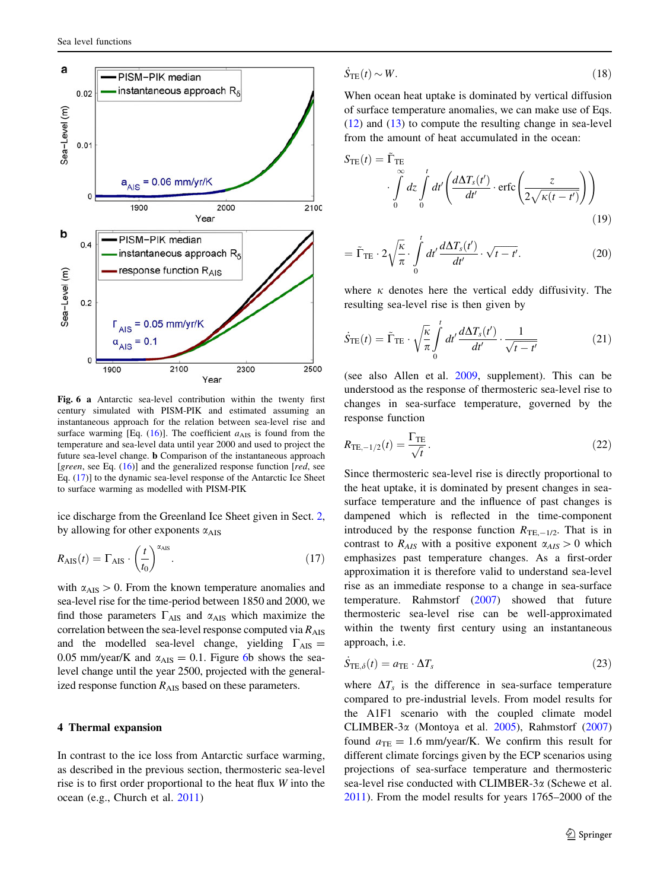<span id="page-6-0"></span>

Fig. 6 a Antarctic sea-level contribution within the twenty first century simulated with PISM-PIK and estimated assuming an instantaneous approach for the relation between sea-level rise and surface warming [Eq.  $(16)$ ]. The coefficient  $a_{\text{AIS}}$  is found from the temperature and sea-level data until year 2000 and used to project the future sea-level change. b Comparison of the instantaneous approach [green, see Eq.  $(16)$  $(16)$  $(16)$ ] and the generalized response function [red, see Eq. (17)] to the dynamic sea-level response of the Antarctic Ice Sheet to surface warming as modelled with PISM-PIK

ice discharge from the Greenland Ice Sheet given in Sect. [2,](#page-1-0) by allowing for other exponents  $\alpha_{\text{AIS}}$ 

$$
R_{\text{AIS}}(t) = \Gamma_{\text{AIS}} \cdot \left(\frac{t}{t_0}\right)^{\alpha_{\text{AIS}}}.\tag{17}
$$

with  $\alpha_{\text{AIS}} > 0$ . From the known temperature anomalies and sea-level rise for the time-period between 1850 and 2000, we find those parameters  $\Gamma_{\text{AIS}}$  and  $\alpha_{\text{AIS}}$  which maximize the correlation between the sea-level response computed via  $R_{\text{AIS}}$ and the modelled sea-level change, yielding  $\Gamma_{\text{AIS}} =$ 0.05 mm/year/K and  $\alpha_{\text{AIS}} = 0.1$ . Figure 6b shows the sealevel change until the year 2500, projected with the generalized response function  $R_{\text{AIS}}$  based on these parameters.

#### 4 Thermal expansion

In contrast to the ice loss from Antarctic surface warming, as described in the previous section, thermosteric sea-level rise is to first order proportional to the heat flux W into the ocean (e.g., Church et al. [2011\)](#page-9-0)

$$
\dot{S}_{\rm TE}(t) \sim W. \tag{18}
$$

When ocean heat uptake is dominated by vertical diffusion of surface temperature anomalies, we can make use of Eqs.  $(12)$  $(12)$  and  $(13)$  $(13)$  to compute the resulting change in sea-level from the amount of heat accumulated in the ocean:

$$
S_{\text{TE}}(t) = \tilde{\Gamma}_{\text{TE}} \int_{0}^{\infty} dz \int_{0}^{t} dt' \left( \frac{d\Delta T_s(t')}{dt'} \cdot \text{erfc}\left(\frac{z}{2\sqrt{\kappa(t-t')}}\right) \right)
$$
(19)

$$
= \tilde{\Gamma}_{\text{TE}} \cdot 2 \sqrt{\frac{\kappa}{\pi}} \cdot \int\limits_{0}^{t} dt' \frac{d\Delta T_s(t')}{dt'} \cdot \sqrt{t - t'}.
$$
 (20)

where  $\kappa$  denotes here the vertical eddy diffusivity. The resulting sea-level rise is then given by

$$
\dot{S}_{\rm TE}(t) = \tilde{\Gamma}_{\rm TE} \cdot \sqrt{\frac{\kappa}{\pi}} \int_{0}^{t} dt' \frac{d\Delta T_s(t')}{dt'} \cdot \frac{1}{\sqrt{t - t'}} \tag{21}
$$

(see also Allen et al. [2009,](#page-9-0) supplement). This can be understood as the response of thermosteric sea-level rise to changes in sea-surface temperature, governed by the response function

$$
R_{\text{TE},-1/2}(t) = \frac{\Gamma_{\text{TE}}}{\sqrt{t}}.\tag{22}
$$

Since thermosteric sea-level rise is directly proportional to the heat uptake, it is dominated by present changes in seasurface temperature and the influence of past changes is dampened which is reflected in the time-component introduced by the response function  $R_{TE,-1/2}$ . That is in contrast to  $R_{AIS}$  with a positive exponent  $\alpha_{AIS} > 0$  which emphasizes past temperature changes. As a first-order approximation it is therefore valid to understand sea-level rise as an immediate response to a change in sea-surface temperature. Rahmstorf ([2007\)](#page-9-0) showed that future thermosteric sea-level rise can be well-approximated within the twenty first century using an instantaneous approach, i.e.

$$
\dot{S}_{\text{TE},\delta}(t) = a_{\text{TE}} \cdot \Delta T_s \tag{23}
$$

where  $\Delta T_s$  is the difference in sea-surface temperature compared to pre-industrial levels. From model results for the A1F1 scenario with the coupled climate model CLIMBER-3a (Montoya et al. [2005](#page-9-0)), Rahmstorf ([2007\)](#page-9-0) found  $a_{\text{TE}} = 1.6$  mm/year/K. We confirm this result for different climate forcings given by the ECP scenarios using projections of sea-surface temperature and thermosteric sea-level rise conducted with CLIMBER- $3\alpha$  (Schewe et al. [2011](#page-9-0)). From the model results for years 1765–2000 of the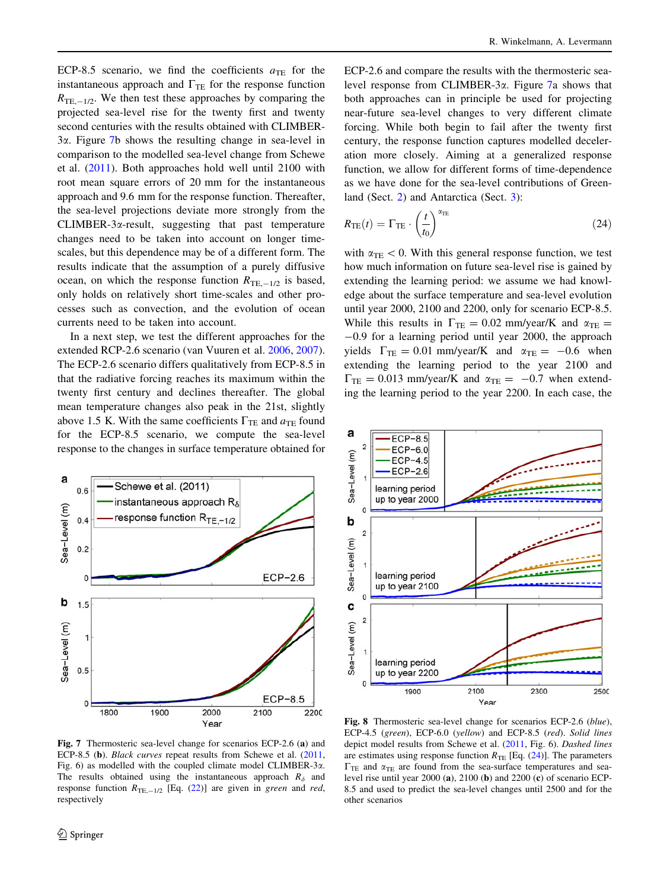<span id="page-7-0"></span>ECP-8.5 scenario, we find the coefficients  $a_{\text{TE}}$  for the instantaneous approach and  $\Gamma_{TE}$  for the response function  $R_{\text{TE},-1/2}$ . We then test these approaches by comparing the projected sea-level rise for the twenty first and twenty second centuries with the results obtained with CLIMBER-3a. Figure 7b shows the resulting change in sea-level in comparison to the modelled sea-level change from Schewe et al. ([2011\)](#page-9-0). Both approaches hold well until 2100 with root mean square errors of 20 mm for the instantaneous approach and 9.6 mm for the response function. Thereafter, the sea-level projections deviate more strongly from the CLIMBER-3a-result, suggesting that past temperature changes need to be taken into account on longer timescales, but this dependence may be of a different form. The results indicate that the assumption of a purely diffusive ocean, on which the response function  $R_{TE,-1/2}$  is based, only holds on relatively short time-scales and other processes such as convection, and the evolution of ocean currents need to be taken into account.

In a next step, we test the different approaches for the extended RCP-2.6 scenario (van Vuuren et al. [2006](#page-9-0), [2007](#page-9-0)). The ECP-2.6 scenario differs qualitatively from ECP-8.5 in that the radiative forcing reaches its maximum within the twenty first century and declines thereafter. The global mean temperature changes also peak in the 21st, slightly above 1.5 K. With the same coefficients  $\Gamma_{\text{TE}}$  and  $a_{\text{TE}}$  found for the ECP-8.5 scenario, we compute the sea-level response to the changes in surface temperature obtained for



Fig. 7 Thermosteric sea-level change for scenarios ECP-2.6 (a) and ECP-8.5 (b). Black curves repeat results from Schewe et al. [\(2011](#page-9-0), Fig. 6) as modelled with the coupled climate model CLIMBER- $3\alpha$ . The results obtained using the instantaneous approach  $R_{\delta}$  and response function  $R_{\text{TE},-1/2}$  [Eq. [\(22](#page-6-0))] are given in green and red, respectively

ECP-2.6 and compare the results with the thermosteric sealevel response from CLIMBER-3 $\alpha$ . Figure 7a shows that both approaches can in principle be used for projecting near-future sea-level changes to very different climate forcing. While both begin to fail after the twenty first century, the response function captures modelled deceleration more closely. Aiming at a generalized response function, we allow for different forms of time-dependence as we have done for the sea-level contributions of Greenland (Sect. [2](#page-1-0)) and Antarctica (Sect. [3](#page-3-0)):

$$
R_{\rm TE}(t) = \Gamma_{\rm TE} \cdot \left(\frac{t}{t_0}\right)^{\alpha_{\rm TE}}\tag{24}
$$

with  $\alpha_{\text{TE}} < 0$ . With this general response function, we test how much information on future sea-level rise is gained by extending the learning period: we assume we had knowledge about the surface temperature and sea-level evolution until year 2000, 2100 and 2200, only for scenario ECP-8.5. While this results in  $\Gamma_{\text{TE}} = 0.02$  mm/year/K and  $\alpha_{\text{TE}} =$ -0.9 for a learning period until year 2000, the approach yields  $\Gamma_{\text{TE}} = 0.01$  mm/year/K and  $\alpha_{\text{TE}} = -0.6$  when extending the learning period to the year 2100 and  $\Gamma_{\rm TE} = 0.013$  mm/year/K and  $\alpha_{\rm TE} = -0.7$  when extending the learning period to the year 2200. In each case, the



Fig. 8 Thermosteric sea-level change for scenarios ECP-2.6 (blue), ECP-4.5 (green), ECP-6.0 (yellow) and ECP-8.5 (red). Solid lines depict model results from Schewe et al. ([2011,](#page-9-0) Fig. 6). Dashed lines are estimates using response function  $R_{TE}$  [Eq. (24)]. The parameters  $\Gamma_{\text{TE}}$  and  $\alpha_{\text{TE}}$  are found from the sea-surface temperatures and sealevel rise until year 2000 (a), 2100 (b) and 2200 (c) of scenario ECP-8.5 and used to predict the sea-level changes until 2500 and for the other scenarios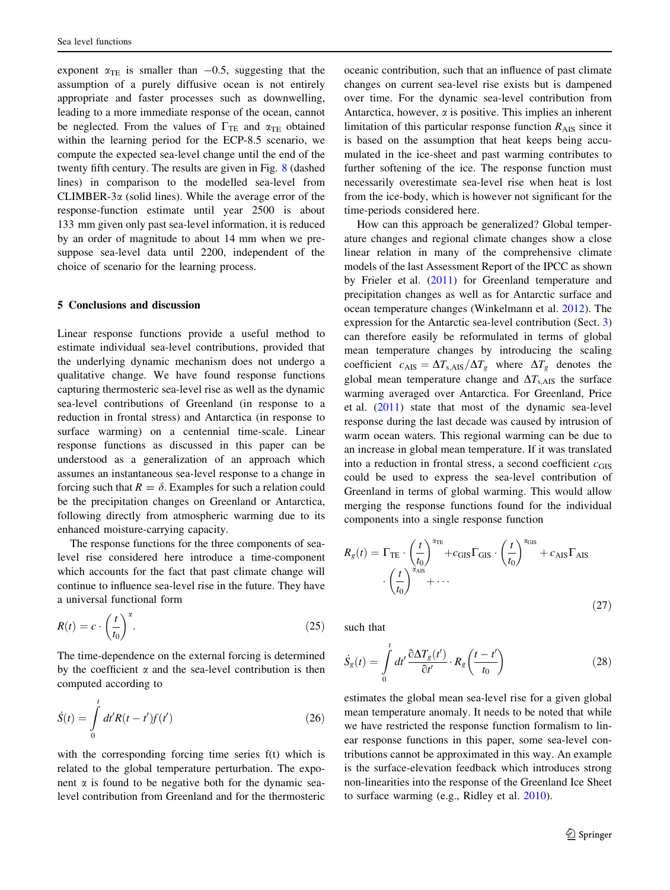exponent  $\alpha_{TE}$  is smaller than  $-0.5$ , suggesting that the assumption of a purely diffusive ocean is not entirely appropriate and faster processes such as downwelling, leading to a more immediate response of the ocean, cannot be neglected. From the values of  $\Gamma_{\text{TE}}$  and  $\alpha_{\text{TE}}$  obtained within the learning period for the ECP-8.5 scenario, we compute the expected sea-level change until the end of the twenty fifth century. The results are given in Fig. [8](#page-7-0) (dashed lines) in comparison to the modelled sea-level from CLIMBER-3 $\alpha$  (solid lines). While the average error of the response-function estimate until year 2500 is about 133 mm given only past sea-level information, it is reduced by an order of magnitude to about 14 mm when we presuppose sea-level data until 2200, independent of the choice of scenario for the learning process.

## 5 Conclusions and discussion

Linear response functions provide a useful method to estimate individual sea-level contributions, provided that the underlying dynamic mechanism does not undergo a qualitative change. We have found response functions capturing thermosteric sea-level rise as well as the dynamic sea-level contributions of Greenland (in response to a reduction in frontal stress) and Antarctica (in response to surface warming) on a centennial time-scale. Linear response functions as discussed in this paper can be understood as a generalization of an approach which assumes an instantaneous sea-level response to a change in forcing such that  $R = \delta$ . Examples for such a relation could be the precipitation changes on Greenland or Antarctica, following directly from atmospheric warming due to its enhanced moisture-carrying capacity.

The response functions for the three components of sealevel rise considered here introduce a time-component which accounts for the fact that past climate change will continue to influence sea-level rise in the future. They have a universal functional form

$$
R(t) = c \cdot \left(\frac{t}{t_0}\right)^{\alpha}.\tag{25}
$$

The time-dependence on the external forcing is determined by the coefficient  $\alpha$  and the sea-level contribution is then computed according to

$$
\dot{S}(t) = \int_{0}^{t} dt' R(t - t') f(t')
$$
\n(26)

with the corresponding forcing time series f(t) which is related to the global temperature perturbation. The exponent  $\alpha$  is found to be negative both for the dynamic sealevel contribution from Greenland and for the thermosteric

oceanic contribution, such that an influence of past climate changes on current sea-level rise exists but is dampened over time. For the dynamic sea-level contribution from Antarctica, however,  $\alpha$  is positive. This implies an inherent limitation of this particular response function  $R_{\text{AIS}}$  since it is based on the assumption that heat keeps being accumulated in the ice-sheet and past warming contributes to further softening of the ice. The response function must necessarily overestimate sea-level rise when heat is lost from the ice-body, which is however not significant for the time-periods considered here.

How can this approach be generalized? Global temperature changes and regional climate changes show a close linear relation in many of the comprehensive climate models of the last Assessment Report of the IPCC as shown by Frieler et al. [\(2011](#page-9-0)) for Greenland temperature and precipitation changes as well as for Antarctic surface and ocean temperature changes (Winkelmann et al. [2012\)](#page-9-0). The expression for the Antarctic sea-level contribution (Sect. [3\)](#page-3-0) can therefore easily be reformulated in terms of global mean temperature changes by introducing the scaling coefficient  $c_{\text{AIS}} = \Delta T_{s,\text{AIS}} / \Delta T_g$  where  $\Delta T_g$  denotes the global mean temperature change and  $\Delta T_{s, \text{AIS}}$  the surface warming averaged over Antarctica. For Greenland, Price et al. ([2011\)](#page-9-0) state that most of the dynamic sea-level response during the last decade was caused by intrusion of warm ocean waters. This regional warming can be due to an increase in global mean temperature. If it was translated into a reduction in frontal stress, a second coefficient  $c_{\text{GIS}}$ could be used to express the sea-level contribution of Greenland in terms of global warming. This would allow merging the response functions found for the individual components into a single response function

$$
R_g(t) = \Gamma_{\text{TE}} \cdot \left(\frac{t}{t_0}\right)^{\alpha_{\text{TE}}} + c_{\text{GIS}} \Gamma_{\text{GIS}} \cdot \left(\frac{t}{t_0}\right)^{\alpha_{\text{GIS}}} + c_{\text{AIS}} \Gamma_{\text{AIS}} \cdot \left(\frac{t}{t_0}\right)^{\alpha_{\text{AIS}}} + \dots
$$
\n
$$
(27)
$$

such that

$$
\dot{S}_g(t) = \int_0^t dt' \frac{\partial \Delta T_g(t')}{\partial t'} \cdot R_g\left(\frac{t-t'}{t_0}\right)
$$
\n(28)

estimates the global mean sea-level rise for a given global mean temperature anomaly. It needs to be noted that while we have restricted the response function formalism to linear response functions in this paper, some sea-level contributions cannot be approximated in this way. An example is the surface-elevation feedback which introduces strong non-linearities into the response of the Greenland Ice Sheet to surface warming (e.g., Ridley et al. [2010\)](#page-9-0).